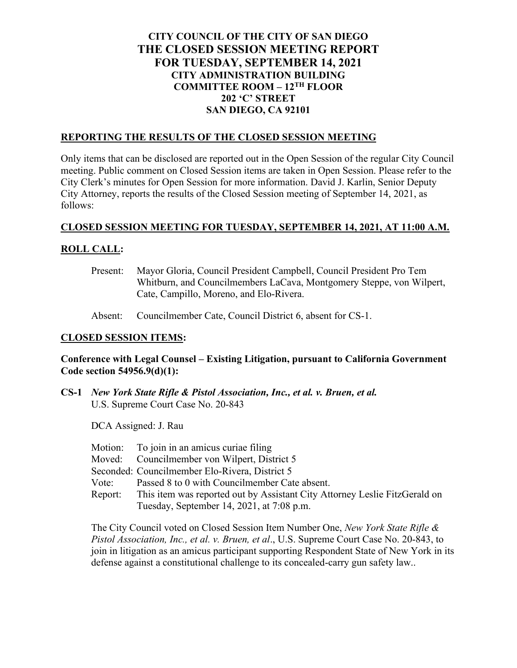# **CITY COUNCIL OF THE CITY OF SAN DIEGO THE CLOSED SESSION MEETING REPORT FOR TUESDAY, SEPTEMBER 14, 2021 CITY ADMINISTRATION BUILDING COMMITTEE ROOM – 12TH FLOOR 202 'C' STREET SAN DIEGO, CA 92101**

## **REPORTING THE RESULTS OF THE CLOSED SESSION MEETING**

Only items that can be disclosed are reported out in the Open Session of the regular City Council meeting. Public comment on Closed Session items are taken in Open Session. Please refer to the City Clerk's minutes for Open Session for more information. David J. Karlin, Senior Deputy City Attorney, reports the results of the Closed Session meeting of September 14, 2021, as follows:

### **CLOSED SESSION MEETING FOR TUESDAY, SEPTEMBER 14, 2021, AT 11:00 A.M.**

## **ROLL CALL:**

- Present: Mayor Gloria, Council President Campbell, Council President Pro Tem Whitburn, and Councilmembers LaCava, Montgomery Steppe, von Wilpert, Cate, Campillo, Moreno, and Elo-Rivera.
- Absent: Councilmember Cate, Council District 6, absent for CS-1.

## **CLOSED SESSION ITEMS:**

## **Conference with Legal Counsel – Existing Litigation, pursuant to California Government Code section 54956.9(d)(1):**

**CS-1** *New York State Rifle & Pistol Association, Inc., et al. v. Bruen, et al.* U.S. Supreme Court Case No. 20-843

DCA Assigned: J. Rau

|         | Motion: To join in an amicus curiae filing                                 |
|---------|----------------------------------------------------------------------------|
|         | Moved: Councilmember von Wilpert, District 5                               |
|         | Seconded: Councilmember Elo-Rivera, District 5                             |
| Vote:   | Passed 8 to 0 with Councilmember Cate absent.                              |
| Report: | This item was reported out by Assistant City Attorney Leslie FitzGerald on |
|         | Tuesday, September 14, 2021, at 7:08 p.m.                                  |

The City Council voted on Closed Session Item Number One, *New York State Rifle & Pistol Association, Inc., et al. v. Bruen, et al*., U.S. Supreme Court Case No. 20-843, to join in litigation as an amicus participant supporting Respondent State of New York in its defense against a constitutional challenge to its concealed-carry gun safety law..